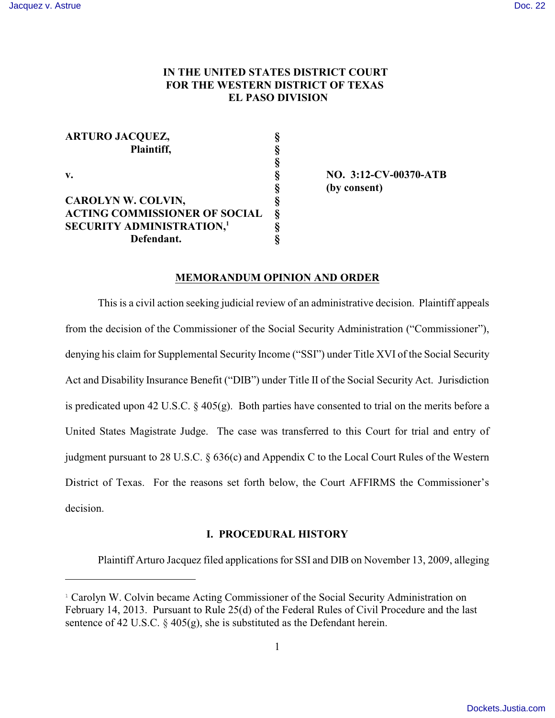# **IN THE UNITED STATES DISTRICT COURT FOR THE WESTERN DISTRICT OF TEXAS EL PASO DIVISION**

| <b>ARTURO JACQUEZ,</b>               |                |
|--------------------------------------|----------------|
| Plaintiff,                           | ş              |
|                                      | ş              |
| v.                                   | §              |
|                                      | ş              |
| <b>CAROLYN W. COLVIN,</b>            | §              |
| <b>ACTING COMMISSIONER OF SOCIAL</b> | $\hat{\delta}$ |
| <b>SECURITY ADMINISTRATION,1</b>     | 8              |
| Defendant.                           |                |

**v. § NO. 3:12-CV-00370-ATB § (by consent)**

### **MEMORANDUM OPINION AND ORDER**

This is a civil action seeking judicial review of an administrative decision. Plaintiff appeals from the decision of the Commissioner of the Social Security Administration ("Commissioner"), denying his claim for Supplemental Security Income ("SSI") under Title XVI of the Social Security Act and Disability Insurance Benefit ("DIB") under Title II of the Social Security Act. Jurisdiction is predicated upon 42 U.S.C.  $\S$  405(g). Both parties have consented to trial on the merits before a United States Magistrate Judge. The case was transferred to this Court for trial and entry of judgment pursuant to 28 U.S.C. § 636(c) and Appendix C to the Local Court Rules of the Western District of Texas. For the reasons set forth below, the Court AFFIRMS the Commissioner's decision.

## **I. PROCEDURAL HISTORY**

Plaintiff Arturo Jacquez filed applications for SSI and DIB on November 13, 2009, alleging

<sup>&</sup>lt;sup>1</sup> Carolyn W. Colvin became Acting Commissioner of the Social Security Administration on February 14, 2013. Pursuant to Rule 25(d) of the Federal Rules of Civil Procedure and the last sentence of 42 U.S.C.  $\S$  405(g), she is substituted as the Defendant herein.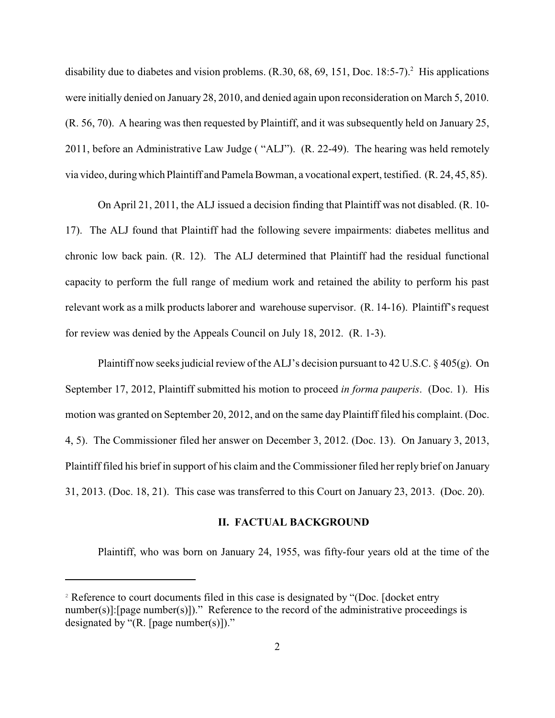disability due to diabetes and vision problems.  $(R.30, 68, 69, 151, Doc. 18:5-7).$ <sup>2</sup> His applications were initially denied on January 28, 2010, and denied again upon reconsideration on March 5, 2010. (R. 56, 70). A hearing was then requested by Plaintiff, and it was subsequently held on January 25, 2011, before an Administrative Law Judge ( "ALJ"). (R. 22-49). The hearing was held remotely via video, duringwhich Plaintiff and Pamela Bowman, a vocational expert, testified. (R. 24, 45, 85).

On April 21, 2011, the ALJ issued a decision finding that Plaintiff was not disabled. (R. 10- 17). The ALJ found that Plaintiff had the following severe impairments: diabetes mellitus and chronic low back pain. (R. 12). The ALJ determined that Plaintiff had the residual functional capacity to perform the full range of medium work and retained the ability to perform his past relevant work as a milk products laborer and warehouse supervisor. (R. 14-16). Plaintiff's request for review was denied by the Appeals Council on July 18, 2012. (R. 1-3).

Plaintiff now seeks judicial review of the ALJ's decision pursuant to 42 U.S.C. § 405(g). On September 17, 2012, Plaintiff submitted his motion to proceed *in forma pauperis*. (Doc. 1). His motion was granted on September 20, 2012, and on the same day Plaintiff filed his complaint. (Doc. 4, 5). The Commissioner filed her answer on December 3, 2012. (Doc. 13). On January 3, 2013, Plaintiff filed his brief in support of his claim and the Commissioner filed her reply brief on January 31, 2013. (Doc. 18, 21). This case was transferred to this Court on January 23, 2013. (Doc. 20).

## **II. FACTUAL BACKGROUND**

Plaintiff, who was born on January 24, 1955, was fifty-four years old at the time of the

<sup>&</sup>lt;sup>2</sup> Reference to court documents filed in this case is designated by "(Doc. [docket entry number(s)]:[page number(s)])." Reference to the record of the administrative proceedings is designated by " $(R.$  [page number(s)])."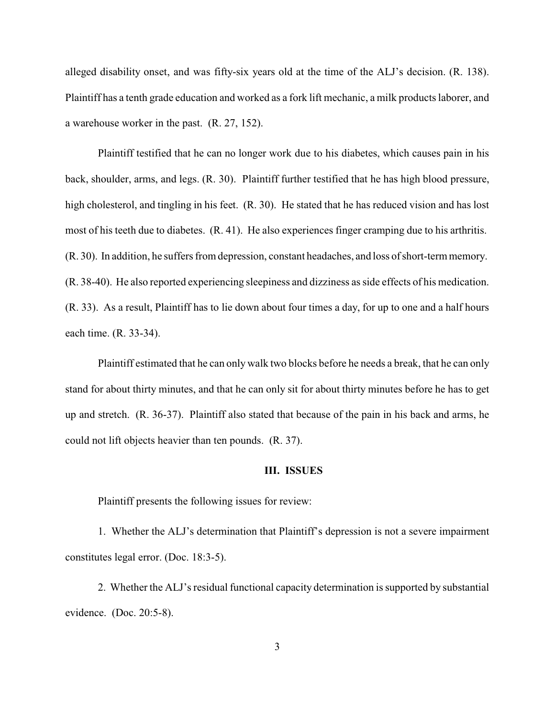alleged disability onset, and was fifty-six years old at the time of the ALJ's decision. (R. 138). Plaintiff has a tenth grade education and worked as a fork lift mechanic, a milk products laborer, and a warehouse worker in the past. (R. 27, 152).

Plaintiff testified that he can no longer work due to his diabetes, which causes pain in his back, shoulder, arms, and legs. (R. 30). Plaintiff further testified that he has high blood pressure, high cholesterol, and tingling in his feet. (R. 30). He stated that he has reduced vision and has lost most of his teeth due to diabetes. (R. 41). He also experiences finger cramping due to his arthritis. (R. 30). In addition, he suffers from depression, constant headaches, and loss of short-term memory. (R. 38-40). He also reported experiencing sleepiness and dizziness as side effects of his medication. (R. 33). As a result, Plaintiff has to lie down about four times a day, for up to one and a half hours each time. (R. 33-34).

Plaintiff estimated that he can only walk two blocks before he needs a break, that he can only stand for about thirty minutes, and that he can only sit for about thirty minutes before he has to get up and stretch. (R. 36-37). Plaintiff also stated that because of the pain in his back and arms, he could not lift objects heavier than ten pounds. (R. 37).

#### **III. ISSUES**

Plaintiff presents the following issues for review:

1. Whether the ALJ's determination that Plaintiff's depression is not a severe impairment constitutes legal error. (Doc. 18:3-5).

2. Whether the ALJ's residual functional capacity determination is supported by substantial evidence. (Doc. 20:5-8).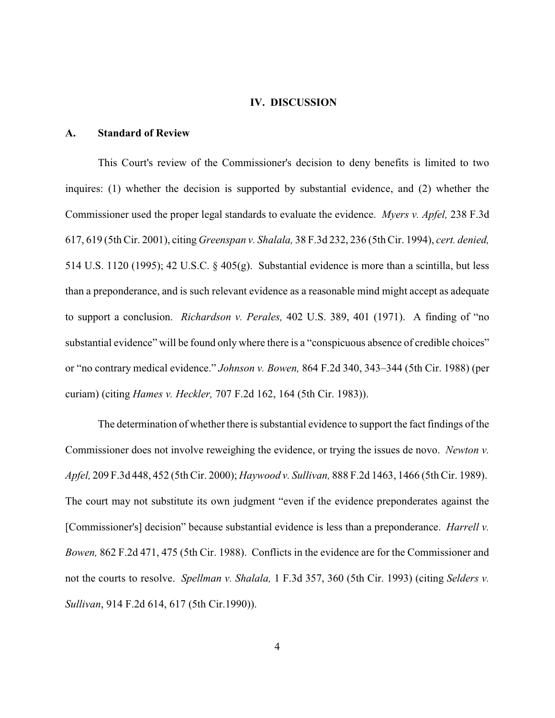#### **IV. DISCUSSION**

### **A. Standard of Review**

This Court's review of the Commissioner's decision to deny benefits is limited to two inquires: (1) whether the decision is supported by substantial evidence, and (2) whether the Commissioner used the proper legal standards to evaluate the evidence. *Myers v. Apfel,* 238 F.3d 617, 619 (5th Cir. 2001), citing *Greenspan v. Shalala,* 38 F.3d 232, 236 (5th Cir. 1994), *cert. denied,* 514 U.S. 1120 (1995); 42 U.S.C. § 405(g). Substantial evidence is more than a scintilla, but less than a preponderance, and is such relevant evidence as a reasonable mind might accept as adequate to support a conclusion. *Richardson v. Perales,* 402 U.S. 389, 401 (1971). A finding of "no substantial evidence" will be found only where there is a "conspicuous absence of credible choices" or "no contrary medical evidence." *Johnson v. Bowen,* 864 F.2d 340, 343–344 (5th Cir. 1988) (per curiam) (citing *Hames v. Heckler,* 707 F.2d 162, 164 (5th Cir. 1983)).

The determination of whether there is substantial evidence to support the fact findings of the Commissioner does not involve reweighing the evidence, or trying the issues de novo. *Newton v. Apfel,* 209 F.3d 448, 452 (5th Cir. 2000); *Haywood v. Sullivan,* 888 F.2d 1463, 1466 (5th Cir. 1989). The court may not substitute its own judgment "even if the evidence preponderates against the [Commissioner's] decision" because substantial evidence is less than a preponderance. *Harrell v. Bowen,* 862 F.2d 471, 475 (5th Cir. 1988). Conflicts in the evidence are for the Commissioner and not the courts to resolve. *Spellman v. Shalala,* 1 F.3d 357, 360 (5th Cir. 1993) (citing *Selders v. Sullivan*, 914 F.2d 614, 617 (5th Cir.1990)).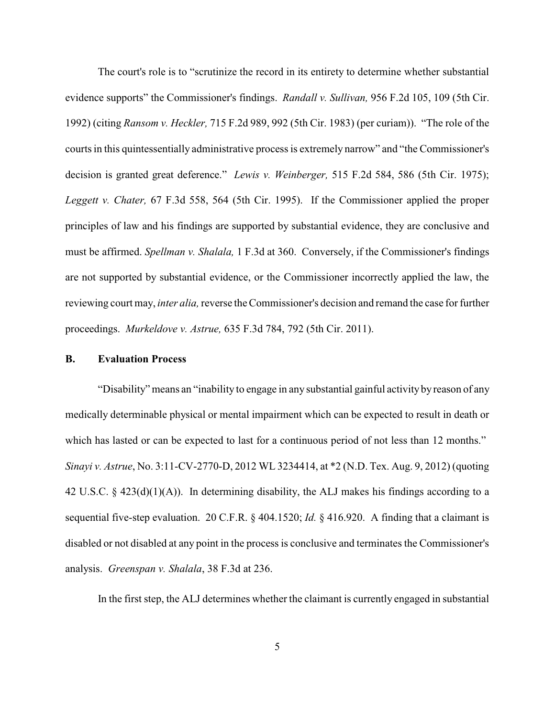The court's role is to "scrutinize the record in its entirety to determine whether substantial evidence supports" the Commissioner's findings. *Randall v. Sullivan,* 956 F.2d 105, 109 (5th Cir. 1992) (citing *Ransom v. Heckler,* 715 F.2d 989, 992 (5th Cir. 1983) (per curiam)). "The role of the courts in this quintessentially administrative process is extremely narrow" and "the Commissioner's decision is granted great deference." *Lewis v. Weinberger,* 515 F.2d 584, 586 (5th Cir. 1975); *Leggett v. Chater,* 67 F.3d 558, 564 (5th Cir. 1995). If the Commissioner applied the proper principles of law and his findings are supported by substantial evidence, they are conclusive and must be affirmed. *Spellman v. Shalala,* 1 F.3d at 360. Conversely, if the Commissioner's findings are not supported by substantial evidence, or the Commissioner incorrectly applied the law, the reviewing court may, *inter alia,*reverse the Commissioner's decision and remand the case for further proceedings. *Murkeldove v. Astrue,* 635 F.3d 784, 792 (5th Cir. 2011).

## **B. Evaluation Process**

"Disability" means an "inability to engage in any substantial gainful activityby reason of any medically determinable physical or mental impairment which can be expected to result in death or which has lasted or can be expected to last for a continuous period of not less than 12 months." *Sinayi v. Astrue*, No. 3:11-CV-2770-D, 2012 WL 3234414, at \*2 (N.D. Tex. Aug. 9, 2012) (quoting 42 U.S.C. § 423(d)(1)(A)). In determining disability, the ALJ makes his findings according to a sequential five-step evaluation. 20 C.F.R. § 404.1520; *Id.* § 416.920. A finding that a claimant is disabled or not disabled at any point in the process is conclusive and terminates the Commissioner's analysis. *Greenspan v. Shalala*, 38 F.3d at 236.

In the first step, the ALJ determines whether the claimant is currently engaged in substantial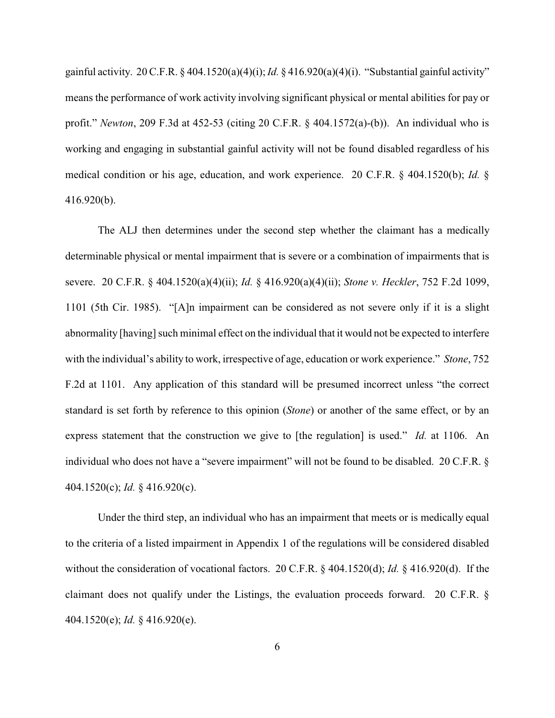gainful activity. 20 C.F.R. § 404.1520(a)(4)(i); *Id.* § 416.920(a)(4)(i). "Substantial gainful activity" means the performance of work activity involving significant physical or mental abilities for pay or profit." *Newton*, 209 F.3d at 452-53 (citing 20 C.F.R. § 404.1572(a)-(b)). An individual who is working and engaging in substantial gainful activity will not be found disabled regardless of his medical condition or his age, education, and work experience. 20 C.F.R. § 404.1520(b); *Id.* § 416.920(b).

The ALJ then determines under the second step whether the claimant has a medically determinable physical or mental impairment that is severe or a combination of impairments that is severe. 20 C.F.R. § 404.1520(a)(4)(ii); *Id.* § 416.920(a)(4)(ii); *Stone v. Heckler*, 752 F.2d 1099, 1101 (5th Cir. 1985). "[A]n impairment can be considered as not severe only if it is a slight abnormality [having] such minimal effect on the individual that it would not be expected to interfere with the individual's ability to work, irrespective of age, education or work experience." *Stone*, 752 F.2d at 1101. Any application of this standard will be presumed incorrect unless "the correct standard is set forth by reference to this opinion (*Stone*) or another of the same effect, or by an express statement that the construction we give to [the regulation] is used." *Id.* at 1106. An individual who does not have a "severe impairment" will not be found to be disabled. 20 C.F.R. § 404.1520(c); *Id.* § 416.920(c).

Under the third step, an individual who has an impairment that meets or is medically equal to the criteria of a listed impairment in Appendix 1 of the regulations will be considered disabled without the consideration of vocational factors. 20 C.F.R. § 404.1520(d); *Id.* § 416.920(d). If the claimant does not qualify under the Listings, the evaluation proceeds forward. 20 C.F.R. § 404.1520(e); *Id.* § 416.920(e).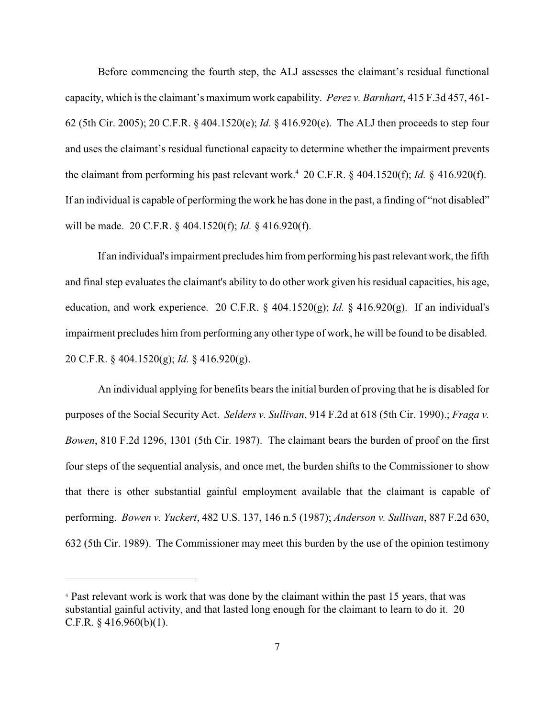Before commencing the fourth step, the ALJ assesses the claimant's residual functional capacity, which is the claimant's maximum work capability. *Perez v. Barnhart*, 415 F.3d 457, 461- 62 (5th Cir. 2005); 20 C.F.R. § 404.1520(e); *Id.* § 416.920(e). The ALJ then proceeds to step four and uses the claimant's residual functional capacity to determine whether the impairment prevents the claimant from performing his past relevant work.<sup>4</sup> 20 C.F.R.  $\S$  404.1520(f); *Id.*  $\S$  416.920(f). If an individual is capable of performing the work he has done in the past, a finding of "not disabled" will be made. 20 C.F.R. § 404.1520(f); *Id.* § 416.920(f).

If an individual's impairment precludes him from performing his past relevant work, the fifth and final step evaluates the claimant's ability to do other work given his residual capacities, his age, education, and work experience. 20 C.F.R. § 404.1520(g); *Id.* § 416.920(g). If an individual's impairment precludes him from performing any other type of work, he will be found to be disabled. 20 C.F.R. § 404.1520(g); *Id.* § 416.920(g).

An individual applying for benefits bears the initial burden of proving that he is disabled for purposes of the Social Security Act. *Selders v. Sullivan*, 914 F.2d at 618 (5th Cir. 1990).; *Fraga v. Bowen*, 810 F.2d 1296, 1301 (5th Cir. 1987). The claimant bears the burden of proof on the first four steps of the sequential analysis, and once met, the burden shifts to the Commissioner to show that there is other substantial gainful employment available that the claimant is capable of performing. *Bowen v. Yuckert*, 482 U.S. 137, 146 n.5 (1987); *Anderson v. Sullivan*, 887 F.2d 630, 632 (5th Cir. 1989). The Commissioner may meet this burden by the use of the opinion testimony

<sup>&</sup>lt;sup>4</sup> Past relevant work is work that was done by the claimant within the past 15 years, that was substantial gainful activity, and that lasted long enough for the claimant to learn to do it. 20 C.F.R. § 416.960(b)(1).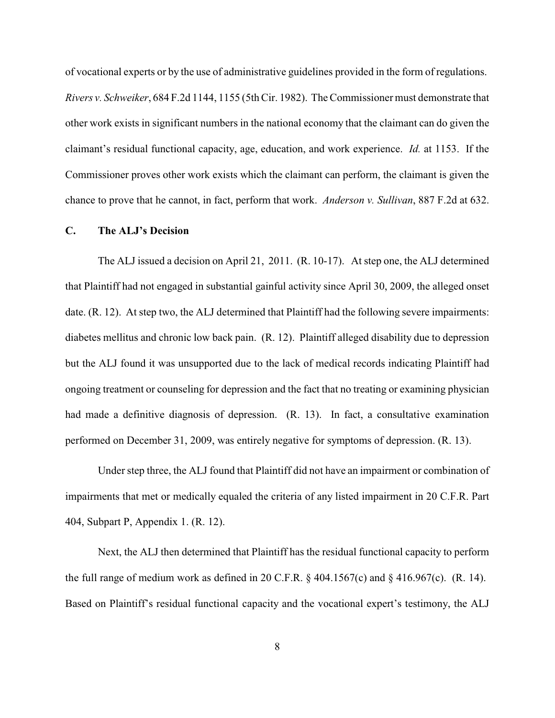of vocational experts or by the use of administrative guidelines provided in the form of regulations. *Rivers v. Schweiker*, 684 F.2d 1144, 1155 (5th Cir. 1982). The Commissioner must demonstrate that other work exists in significant numbers in the national economy that the claimant can do given the claimant's residual functional capacity, age, education, and work experience. *Id.* at 1153. If the Commissioner proves other work exists which the claimant can perform, the claimant is given the chance to prove that he cannot, in fact, perform that work. *Anderson v. Sullivan*, 887 F.2d at 632.

## **C. The ALJ's Decision**

The ALJ issued a decision on April 21, 2011. (R. 10-17). At step one, the ALJ determined that Plaintiff had not engaged in substantial gainful activity since April 30, 2009, the alleged onset date. (R. 12). At step two, the ALJ determined that Plaintiff had the following severe impairments: diabetes mellitus and chronic low back pain. (R. 12). Plaintiff alleged disability due to depression but the ALJ found it was unsupported due to the lack of medical records indicating Plaintiff had ongoing treatment or counseling for depression and the fact that no treating or examining physician had made a definitive diagnosis of depression. (R. 13). In fact, a consultative examination performed on December 31, 2009, was entirely negative for symptoms of depression. (R. 13).

Under step three, the ALJ found that Plaintiff did not have an impairment or combination of impairments that met or medically equaled the criteria of any listed impairment in 20 C.F.R. Part 404, Subpart P, Appendix 1. (R. 12).

Next, the ALJ then determined that Plaintiff has the residual functional capacity to perform the full range of medium work as defined in 20 C.F.R.  $\S$  404.1567(c) and  $\S$  416.967(c). (R. 14). Based on Plaintiff's residual functional capacity and the vocational expert's testimony, the ALJ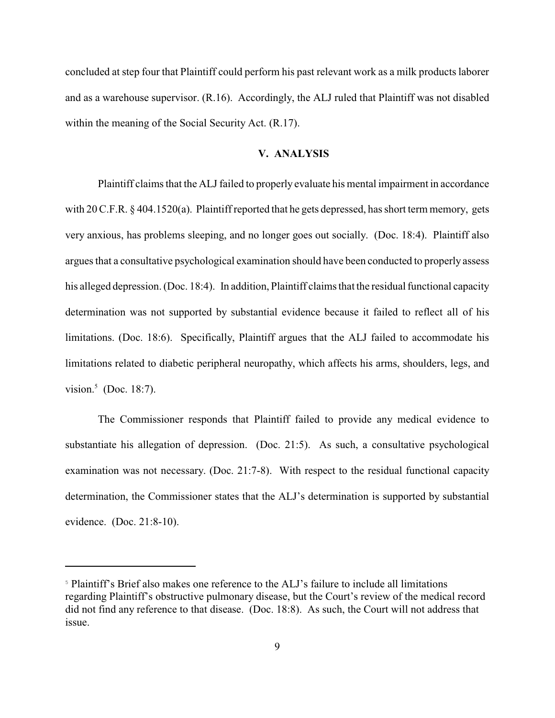concluded at step four that Plaintiff could perform his past relevant work as a milk products laborer and as a warehouse supervisor. (R.16). Accordingly, the ALJ ruled that Plaintiff was not disabled within the meaning of the Social Security Act. (R.17).

## **V. ANALYSIS**

Plaintiff claims that the ALJ failed to properly evaluate his mental impairment in accordance with 20 C.F.R. § 404.1520(a). Plaintiff reported that he gets depressed, has short term memory, gets very anxious, has problems sleeping, and no longer goes out socially. (Doc. 18:4). Plaintiff also argues that a consultative psychological examination should have been conducted to properly assess his alleged depression. (Doc. 18:4). In addition, Plaintiff claims that the residual functional capacity determination was not supported by substantial evidence because it failed to reflect all of his limitations. (Doc. 18:6). Specifically, Plaintiff argues that the ALJ failed to accommodate his limitations related to diabetic peripheral neuropathy, which affects his arms, shoulders, legs, and vision. $5$  (Doc. 18:7).

The Commissioner responds that Plaintiff failed to provide any medical evidence to substantiate his allegation of depression. (Doc. 21:5). As such, a consultative psychological examination was not necessary. (Doc. 21:7-8). With respect to the residual functional capacity determination, the Commissioner states that the ALJ's determination is supported by substantial evidence. (Doc. 21:8-10).

<sup>&</sup>lt;sup>5</sup> Plaintiff's Brief also makes one reference to the ALJ's failure to include all limitations regarding Plaintiff's obstructive pulmonary disease, but the Court's review of the medical record did not find any reference to that disease. (Doc. 18:8). As such, the Court will not address that issue.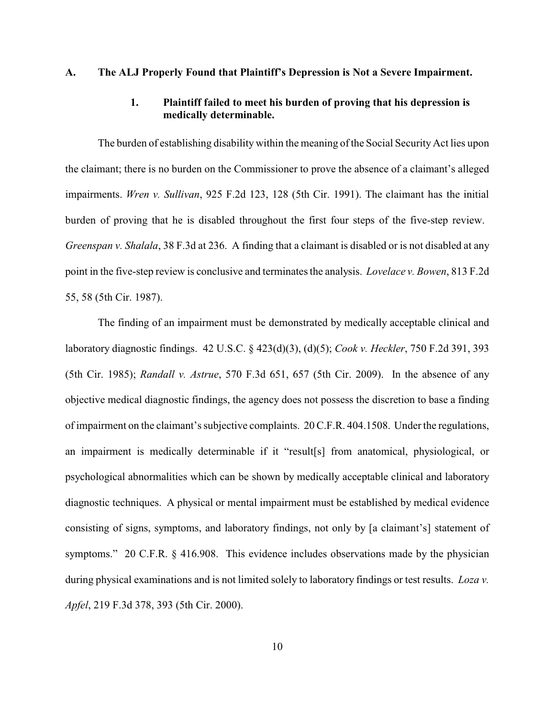## **A. The ALJ Properly Found that Plaintiff's Depression is Not a Severe Impairment.**

# **1. Plaintiff failed to meet his burden of proving that his depression is medically determinable.**

The burden of establishing disability within the meaning of the Social Security Act lies upon the claimant; there is no burden on the Commissioner to prove the absence of a claimant's alleged impairments. *Wren v. Sullivan*, 925 F.2d 123, 128 (5th Cir. 1991). The claimant has the initial burden of proving that he is disabled throughout the first four steps of the five-step review. *Greenspan v. Shalala*, 38 F.3d at 236. A finding that a claimant is disabled or is not disabled at any point in the five-step review is conclusive and terminates the analysis. *Lovelace v. Bowen*, 813 F.2d 55, 58 (5th Cir. 1987).

The finding of an impairment must be demonstrated by medically acceptable clinical and laboratory diagnostic findings. 42 U.S.C. § 423(d)(3), (d)(5); *Cook v. Heckler*, 750 F.2d 391, 393 (5th Cir. 1985); *Randall v. Astrue*, 570 F.3d 651, 657 (5th Cir. 2009). In the absence of any objective medical diagnostic findings, the agency does not possess the discretion to base a finding of impairment on the claimant's subjective complaints. 20 C.F.R. 404.1508. Underthe regulations, an impairment is medically determinable if it "result[s] from anatomical, physiological, or psychological abnormalities which can be shown by medically acceptable clinical and laboratory diagnostic techniques. A physical or mental impairment must be established by medical evidence consisting of signs, symptoms, and laboratory findings, not only by [a claimant's] statement of symptoms." 20 C.F.R. § 416.908. This evidence includes observations made by the physician during physical examinations and is not limited solely to laboratory findings or test results. *Loza v. Apfel*, 219 F.3d 378, 393 (5th Cir. 2000).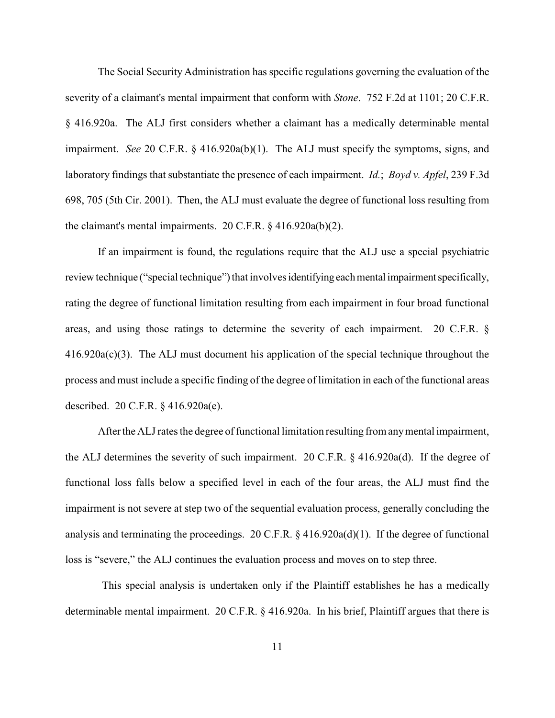The Social Security Administration has specific regulations governing the evaluation of the severity of a claimant's mental impairment that conform with *Stone*. 752 F.2d at 1101; 20 C.F.R. § 416.920a. The ALJ first considers whether a claimant has a medically determinable mental impairment. *See* 20 C.F.R. § 416.920a(b)(1). The ALJ must specify the symptoms, signs, and laboratory findings that substantiate the presence of each impairment. *Id.*; *Boyd v. Apfel*, 239 F.3d 698, 705 (5th Cir. 2001). Then, the ALJ must evaluate the degree of functional loss resulting from the claimant's mental impairments. 20 C.F.R. § 416.920a(b)(2).

If an impairment is found, the regulations require that the ALJ use a special psychiatric review technique ("special technique") that involves identifying each mental impairment specifically, rating the degree of functional limitation resulting from each impairment in four broad functional areas, and using those ratings to determine the severity of each impairment. 20 C.F.R. § 416.920a(c)(3). The ALJ must document his application of the special technique throughout the process and must include a specific finding of the degree of limitation in each of the functional areas described. 20 C.F.R. § 416.920a(e).

After the ALJ rates the degree of functional limitation resulting from any mental impairment, the ALJ determines the severity of such impairment. 20 C.F.R. § 416.920a(d). If the degree of functional loss falls below a specified level in each of the four areas, the ALJ must find the impairment is not severe at step two of the sequential evaluation process, generally concluding the analysis and terminating the proceedings. 20 C.F.R. § 416.920a(d)(1). If the degree of functional loss is "severe," the ALJ continues the evaluation process and moves on to step three.

This special analysis is undertaken only if the Plaintiff establishes he has a medically determinable mental impairment. 20 C.F.R. § 416.920a. In his brief, Plaintiff argues that there is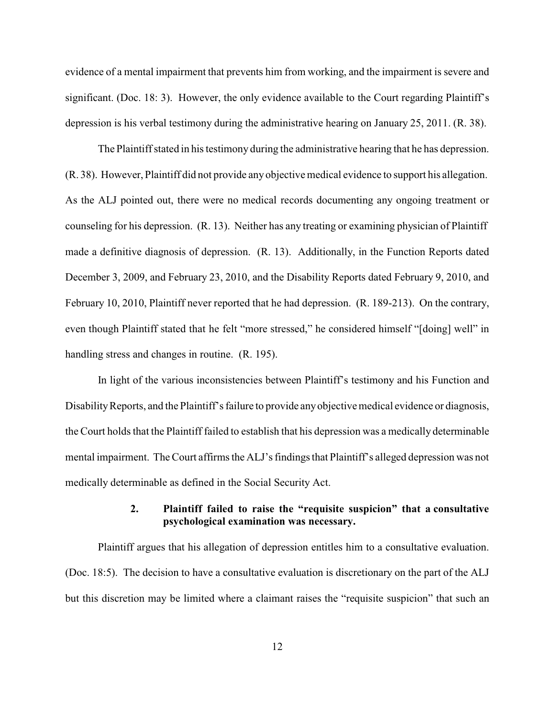evidence of a mental impairment that prevents him from working, and the impairment is severe and significant. (Doc. 18: 3). However, the only evidence available to the Court regarding Plaintiff's depression is his verbal testimony during the administrative hearing on January 25, 2011. (R. 38).

The Plaintiff stated in his testimony during the administrative hearing that he has depression. (R. 38). However, Plaintiff did not provide any objective medical evidence to support his allegation. As the ALJ pointed out, there were no medical records documenting any ongoing treatment or counseling for his depression. (R. 13). Neither has any treating or examining physician of Plaintiff made a definitive diagnosis of depression. (R. 13). Additionally, in the Function Reports dated December 3, 2009, and February 23, 2010, and the Disability Reports dated February 9, 2010, and February 10, 2010, Plaintiff never reported that he had depression. (R. 189-213). On the contrary, even though Plaintiff stated that he felt "more stressed," he considered himself "[doing] well" in handling stress and changes in routine. (R. 195).

In light of the various inconsistencies between Plaintiff's testimony and his Function and Disability Reports, and the Plaintiff's failure to provide any objective medical evidence or diagnosis, the Court holds that the Plaintiff failed to establish that his depression was a medically determinable mental impairment. The Court affirms the ALJ's findings that Plaintiff's alleged depression was not medically determinable as defined in the Social Security Act.

# **2. Plaintiff failed to raise the "requisite suspicion" that a consultative psychological examination was necessary.**

Plaintiff argues that his allegation of depression entitles him to a consultative evaluation. (Doc. 18:5). The decision to have a consultative evaluation is discretionary on the part of the ALJ but this discretion may be limited where a claimant raises the "requisite suspicion" that such an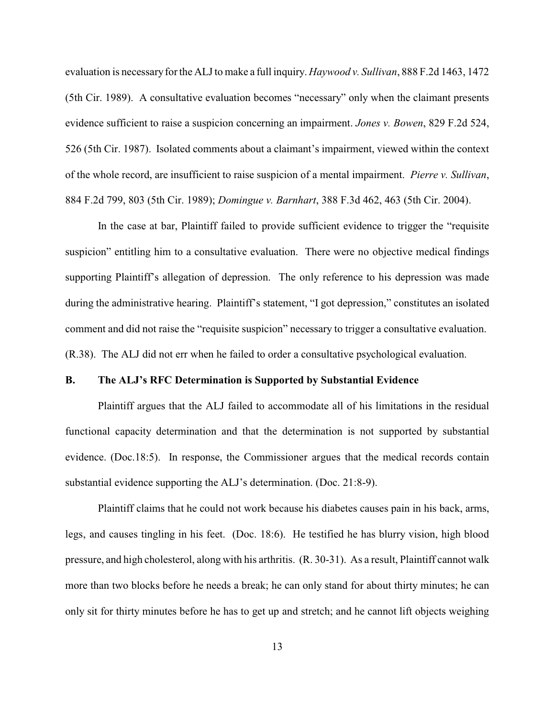evaluation is necessary for the ALJ to make a full inquiry. *Haywood v. Sullivan*, 888 F.2d 1463, 1472 (5th Cir. 1989). A consultative evaluation becomes "necessary" only when the claimant presents evidence sufficient to raise a suspicion concerning an impairment. *Jones v. Bowen*, 829 F.2d 524, 526 (5th Cir. 1987). Isolated comments about a claimant's impairment, viewed within the context of the whole record, are insufficient to raise suspicion of a mental impairment. *Pierre v. Sullivan*, 884 F.2d 799, 803 (5th Cir. 1989); *Domingue v. Barnhart*, 388 F.3d 462, 463 (5th Cir. 2004).

In the case at bar, Plaintiff failed to provide sufficient evidence to trigger the "requisite suspicion" entitling him to a consultative evaluation. There were no objective medical findings supporting Plaintiff's allegation of depression. The only reference to his depression was made during the administrative hearing. Plaintiff's statement, "I got depression," constitutes an isolated comment and did not raise the "requisite suspicion" necessary to trigger a consultative evaluation. (R.38). The ALJ did not err when he failed to order a consultative psychological evaluation.

## **B. The ALJ's RFC Determination is Supported by Substantial Evidence**

Plaintiff argues that the ALJ failed to accommodate all of his limitations in the residual functional capacity determination and that the determination is not supported by substantial evidence. (Doc.18:5). In response, the Commissioner argues that the medical records contain substantial evidence supporting the ALJ's determination. (Doc. 21:8-9).

Plaintiff claims that he could not work because his diabetes causes pain in his back, arms, legs, and causes tingling in his feet. (Doc. 18:6). He testified he has blurry vision, high blood pressure, and high cholesterol, along with his arthritis. (R. 30-31). As a result, Plaintiff cannot walk more than two blocks before he needs a break; he can only stand for about thirty minutes; he can only sit for thirty minutes before he has to get up and stretch; and he cannot lift objects weighing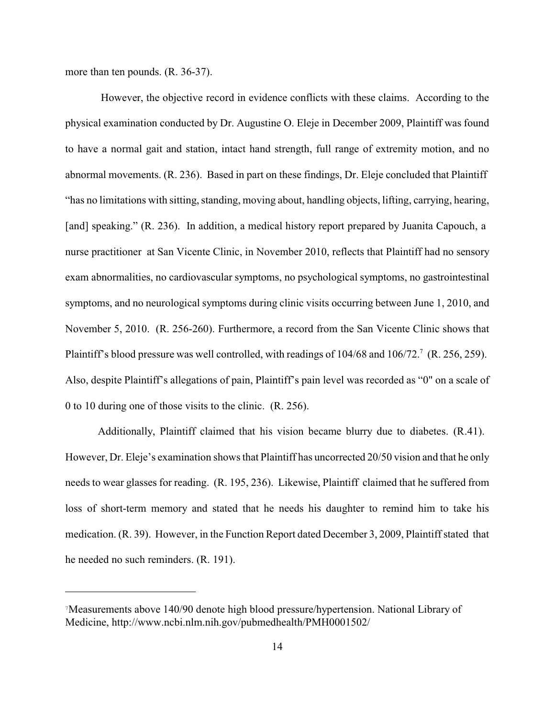more than ten pounds. (R. 36-37).

However, the objective record in evidence conflicts with these claims. According to the physical examination conducted by Dr. Augustine O. Eleje in December 2009, Plaintiff was found to have a normal gait and station, intact hand strength, full range of extremity motion, and no abnormal movements. (R. 236). Based in part on these findings, Dr. Eleje concluded that Plaintiff "has no limitations with sitting, standing, moving about, handling objects, lifting, carrying, hearing, [and] speaking." (R. 236). In addition, a medical history report prepared by Juanita Capouch, a nurse practitioner at San Vicente Clinic, in November 2010, reflects that Plaintiff had no sensory exam abnormalities, no cardiovascular symptoms, no psychological symptoms, no gastrointestinal symptoms, and no neurological symptoms during clinic visits occurring between June 1, 2010, and November 5, 2010. (R. 256-260). Furthermore, a record from the San Vicente Clinic shows that Plaintiff's blood pressure was well controlled, with readings of  $104/68$  and  $106/72$ .<sup>7</sup> (R. 256, 259). Also, despite Plaintiff's allegations of pain, Plaintiff's pain level was recorded as "0" on a scale of 0 to 10 during one of those visits to the clinic. (R. 256).

Additionally, Plaintiff claimed that his vision became blurry due to diabetes. (R.41). However, Dr. Eleje's examination shows that Plaintiff has uncorrected 20/50 vision and that he only needs to wear glasses for reading. (R. 195, 236). Likewise, Plaintiff claimed that he suffered from loss of short-term memory and stated that he needs his daughter to remind him to take his medication. (R. 39). However, in the Function Report dated December 3, 2009, Plaintiff stated that he needed no such reminders. (R. 191).

<sup>&</sup>lt;sup>7</sup>Measurements above 140/90 denote high blood pressure/hypertension. National Library of Medicine, http://www.ncbi.nlm.nih.gov/pubmedhealth/PMH0001502/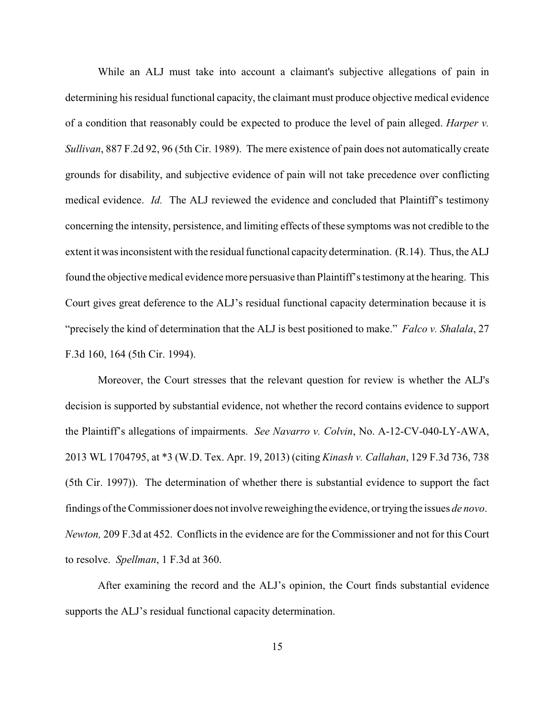While an ALJ must take into account a claimant's subjective allegations of pain in determining his residual functional capacity, the claimant must produce objective medical evidence of a condition that reasonably could be expected to produce the level of pain alleged. *Harper v. Sullivan*, 887 F.2d 92, 96 (5th Cir. 1989). The mere existence of pain does not automatically create grounds for disability, and subjective evidence of pain will not take precedence over conflicting medical evidence. *Id.* The ALJ reviewed the evidence and concluded that Plaintiff's testimony concerning the intensity, persistence, and limiting effects of these symptoms was not credible to the extent it was inconsistent with the residual functional capacitydetermination. (R.14). Thus, the ALJ found the objective medical evidence more persuasive than Plaintiff's testimony at the hearing. This Court gives great deference to the ALJ's residual functional capacity determination because it is "precisely the kind of determination that the ALJ is best positioned to make." *Falco v. Shalala*, 27 F.3d 160, 164 (5th Cir. 1994).

Moreover, the Court stresses that the relevant question for review is whether the ALJ's decision is supported by substantial evidence, not whether the record contains evidence to support the Plaintiff's allegations of impairments. *See Navarro v. Colvin*, No. A-12-CV-040-LY-AWA, 2013 WL 1704795, at \*3 (W.D. Tex. Apr. 19, 2013) (citing *Kinash v. Callahan*, 129 F.3d 736, 738 (5th Cir. 1997)). The determination of whether there is substantial evidence to support the fact findings of the Commissioner does not involve reweighingthe evidence, or trying the issues *de novo*. *Newton,* 209 F.3d at 452. Conflicts in the evidence are for the Commissioner and not for this Court to resolve. *Spellman*, 1 F.3d at 360.

After examining the record and the ALJ's opinion, the Court finds substantial evidence supports the ALJ's residual functional capacity determination.